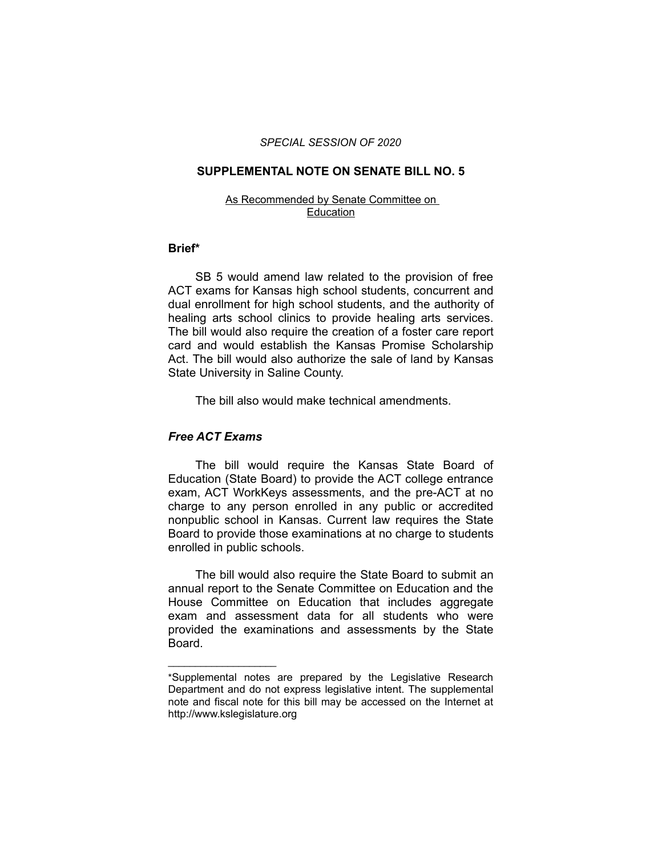#### *SPECIAL SESSION OF 2020*

#### **SUPPLEMENTAL NOTE ON SENATE BILL NO. 5**

#### As Recommended by Senate Committee on Education

### **Brief\***

SB 5 would amend law related to the provision of free ACT exams for Kansas high school students, concurrent and dual enrollment for high school students, and the authority of healing arts school clinics to provide healing arts services. The bill would also require the creation of a foster care report card and would establish the Kansas Promise Scholarship Act. The bill would also authorize the sale of land by Kansas State University in Saline County.

The bill also would make technical amendments.

# *Free ACT Exams*

 $\overline{\phantom{a}}$  , where  $\overline{\phantom{a}}$  , where  $\overline{\phantom{a}}$ 

The bill would require the Kansas State Board of Education (State Board) to provide the ACT college entrance exam, ACT WorkKeys assessments, and the pre-ACT at no charge to any person enrolled in any public or accredited nonpublic school in Kansas. Current law requires the State Board to provide those examinations at no charge to students enrolled in public schools.

The bill would also require the State Board to submit an annual report to the Senate Committee on Education and the House Committee on Education that includes aggregate exam and assessment data for all students who were provided the examinations and assessments by the State Board.

<sup>\*</sup>Supplemental notes are prepared by the Legislative Research Department and do not express legislative intent. The supplemental note and fiscal note for this bill may be accessed on the Internet at http://www.kslegislature.org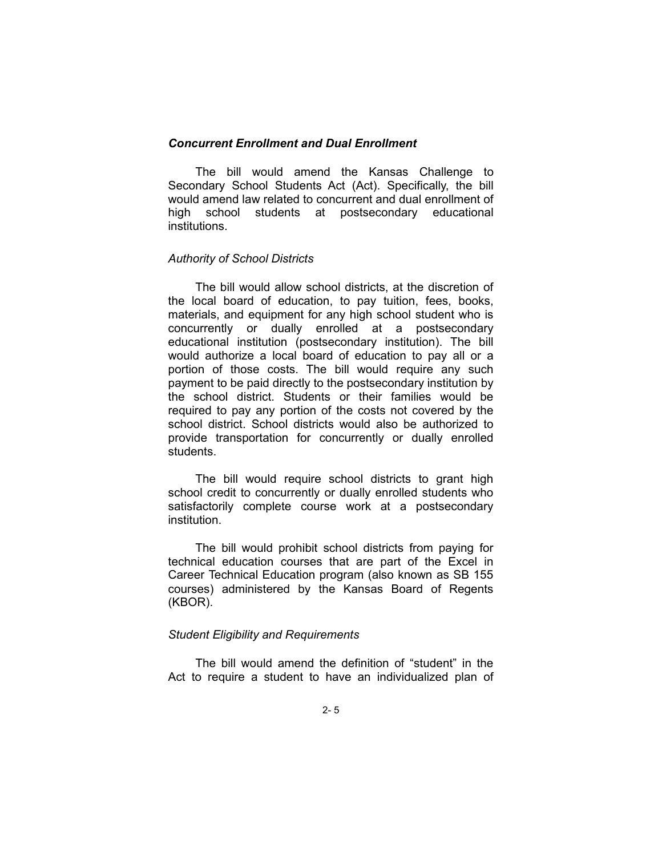### *Concurrent Enrollment and Dual Enrollment*

The bill would amend the Kansas Challenge to Secondary School Students Act (Act). Specifically, the bill would amend law related to concurrent and dual enrollment of high school students at postsecondary educational institutions.

# *Authority of School Districts*

The bill would allow school districts, at the discretion of the local board of education, to pay tuition, fees, books, materials, and equipment for any high school student who is concurrently or dually enrolled at a postsecondary educational institution (postsecondary institution). The bill would authorize a local board of education to pay all or a portion of those costs. The bill would require any such payment to be paid directly to the postsecondary institution by the school district. Students or their families would be required to pay any portion of the costs not covered by the school district. School districts would also be authorized to provide transportation for concurrently or dually enrolled students.

The bill would require school districts to grant high school credit to concurrently or dually enrolled students who satisfactorily complete course work at a postsecondary institution.

The bill would prohibit school districts from paying for technical education courses that are part of the Excel in Career Technical Education program (also known as SB 155 courses) administered by the Kansas Board of Regents (KBOR).

#### *Student Eligibility and Requirements*

The bill would amend the definition of "student" in the Act to require a student to have an individualized plan of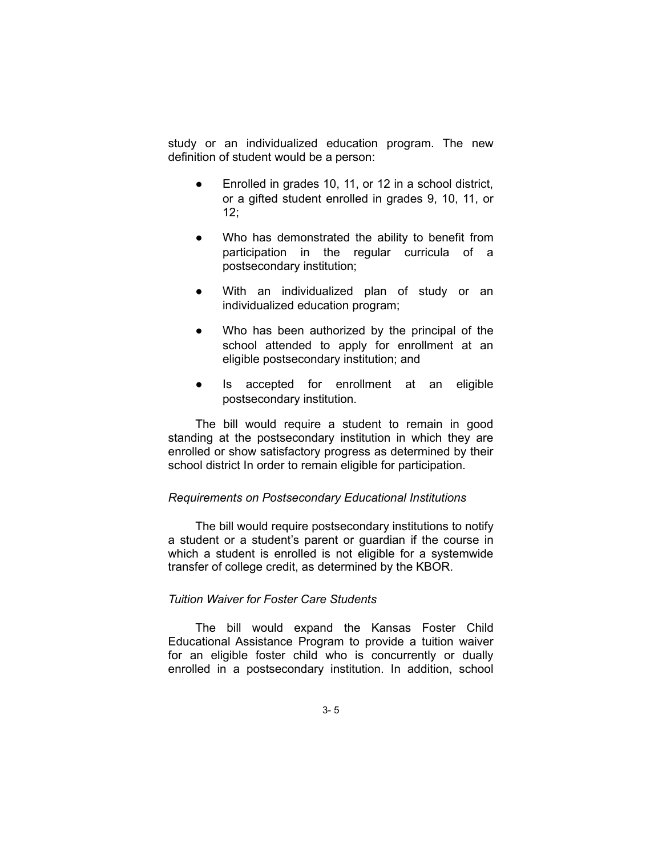study or an individualized education program. The new definition of student would be a person:

- Enrolled in grades 10, 11, or 12 in a school district, or a gifted student enrolled in grades 9, 10, 11, or 12;
- Who has demonstrated the ability to benefit from participation in the regular curricula of a postsecondary institution;
- With an individualized plan of study or an individualized education program;
- Who has been authorized by the principal of the school attended to apply for enrollment at an eligible postsecondary institution; and
- Is accepted for enrollment at an eligible postsecondary institution.

The bill would require a student to remain in good standing at the postsecondary institution in which they are enrolled or show satisfactory progress as determined by their school district In order to remain eligible for participation.

### *Requirements on Postsecondary Educational Institutions*

The bill would require postsecondary institutions to notify a student or a student's parent or guardian if the course in which a student is enrolled is not eligible for a systemwide transfer of college credit, as determined by the KBOR.

### *Tuition Waiver for Foster Care Students*

The bill would expand the Kansas Foster Child Educational Assistance Program to provide a tuition waiver for an eligible foster child who is concurrently or dually enrolled in a postsecondary institution. In addition, school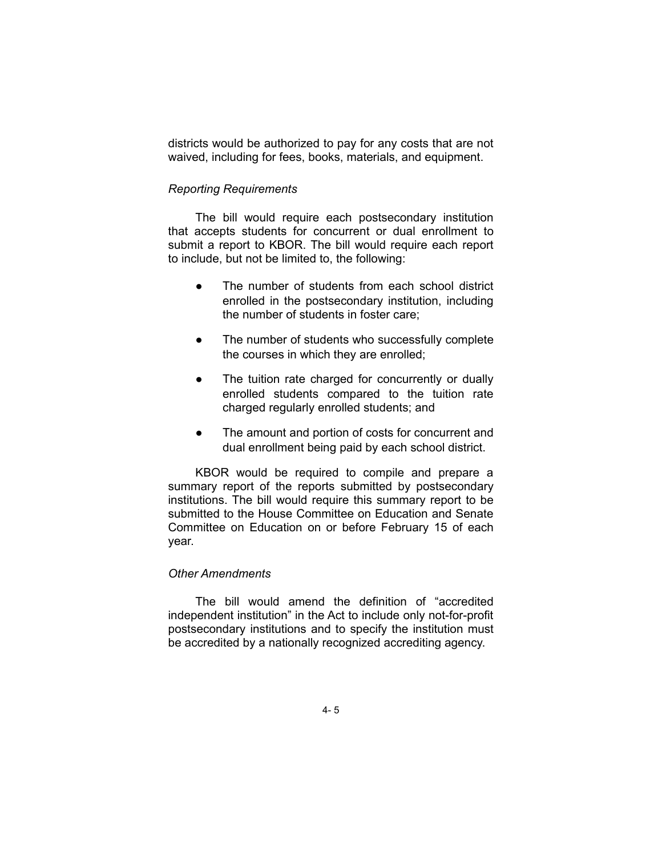districts would be authorized to pay for any costs that are not waived, including for fees, books, materials, and equipment.

# *Reporting Requirements*

The bill would require each postsecondary institution that accepts students for concurrent or dual enrollment to submit a report to KBOR. The bill would require each report to include, but not be limited to, the following:

- The number of students from each school district enrolled in the postsecondary institution, including the number of students in foster care;
- The number of students who successfully complete the courses in which they are enrolled;
- The tuition rate charged for concurrently or dually enrolled students compared to the tuition rate charged regularly enrolled students; and
- The amount and portion of costs for concurrent and dual enrollment being paid by each school district.

KBOR would be required to compile and prepare a summary report of the reports submitted by postsecondary institutions. The bill would require this summary report to be submitted to the House Committee on Education and Senate Committee on Education on or before February 15 of each year.

### *Other Amendments*

The bill would amend the definition of "accredited independent institution" in the Act to include only not-for-profit postsecondary institutions and to specify the institution must be accredited by a nationally recognized accrediting agency.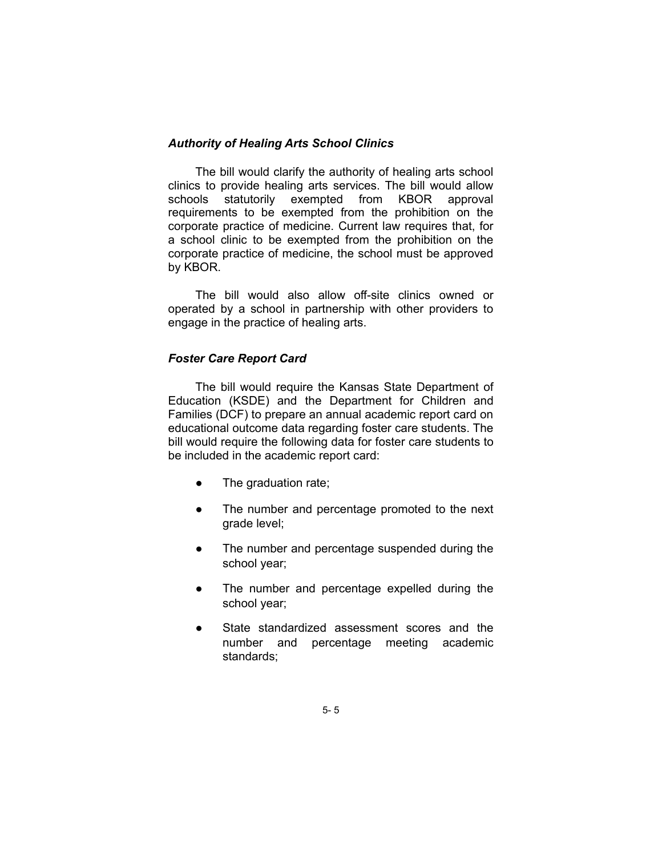# *Authority of Healing Arts School Clinics*

The bill would clarify the authority of healing arts school clinics to provide healing arts services. The bill would allow schools statutorily exempted from KBOR approval requirements to be exempted from the prohibition on the corporate practice of medicine. Current law requires that, for a school clinic to be exempted from the prohibition on the corporate practice of medicine, the school must be approved by KBOR.

The bill would also allow off-site clinics owned or operated by a school in partnership with other providers to engage in the practice of healing arts.

# *Foster Care Report Card*

The bill would require the Kansas State Department of Education (KSDE) and the Department for Children and Families (DCF) to prepare an annual academic report card on educational outcome data regarding foster care students. The bill would require the following data for foster care students to be included in the academic report card:

- The graduation rate;
- The number and percentage promoted to the next grade level;
- The number and percentage suspended during the school year;
- The number and percentage expelled during the school year;
- State standardized assessment scores and the number and percentage meeting academic standards;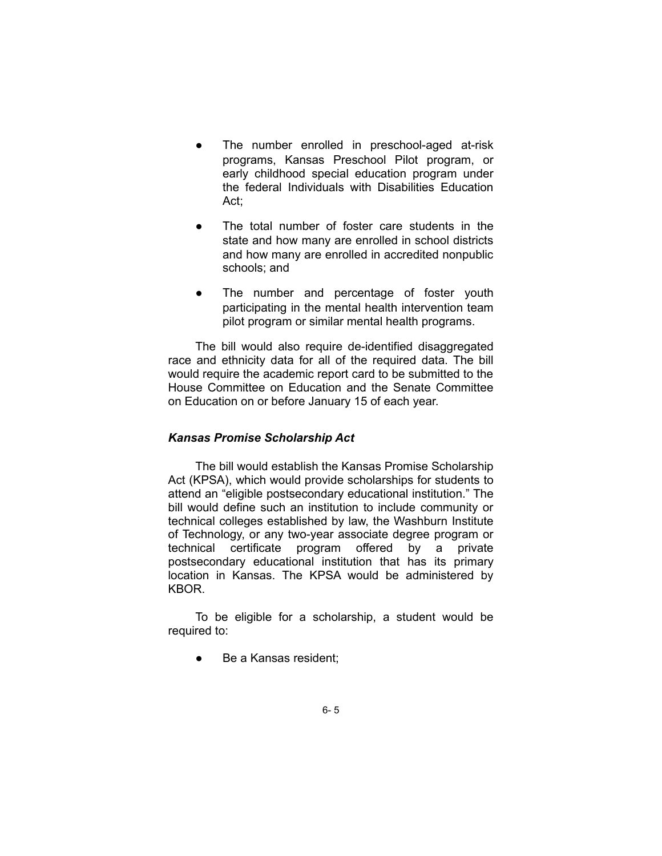- The number enrolled in preschool-aged at-risk programs, Kansas Preschool Pilot program, or early childhood special education program under the federal Individuals with Disabilities Education Act;
- The total number of foster care students in the state and how many are enrolled in school districts and how many are enrolled in accredited nonpublic schools; and
- The number and percentage of foster youth participating in the mental health intervention team pilot program or similar mental health programs.

The bill would also require de-identified disaggregated race and ethnicity data for all of the required data. The bill would require the academic report card to be submitted to the House Committee on Education and the Senate Committee on Education on or before January 15 of each year.

# *Kansas Promise Scholarship Act*

The bill would establish the Kansas Promise Scholarship Act (KPSA), which would provide scholarships for students to attend an "eligible postsecondary educational institution." The bill would define such an institution to include community or technical colleges established by law, the Washburn Institute of Technology, or any two-year associate degree program or technical certificate program offered by a private postsecondary educational institution that has its primary location in Kansas. The KPSA would be administered by KBOR.

To be eligible for a scholarship, a student would be required to:

Be a Kansas resident;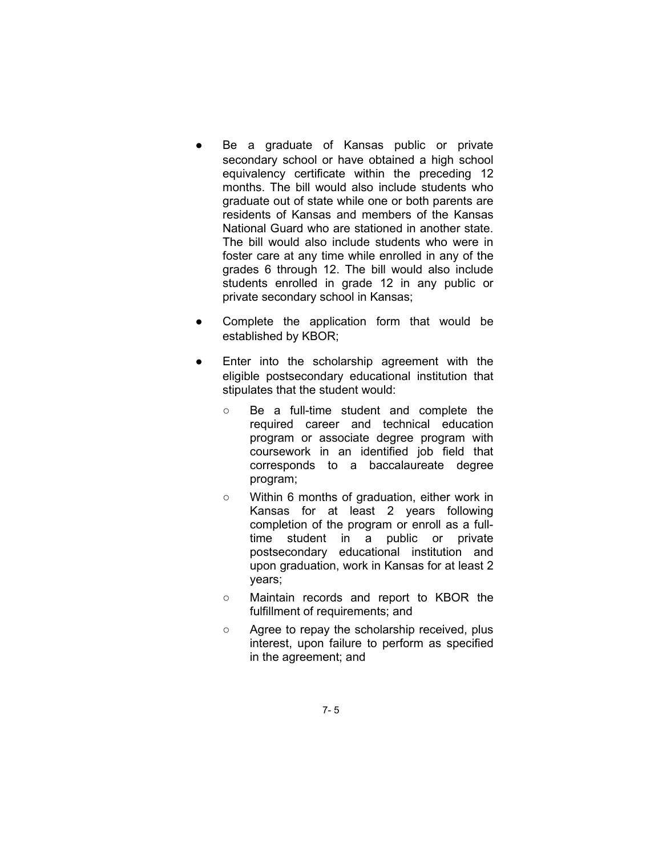- Be a graduate of Kansas public or private secondary school or have obtained a high school equivalency certificate within the preceding 12 months. The bill would also include students who graduate out of state while one or both parents are residents of Kansas and members of the Kansas National Guard who are stationed in another state. The bill would also include students who were in foster care at any time while enrolled in any of the grades 6 through 12. The bill would also include students enrolled in grade 12 in any public or private secondary school in Kansas;
- Complete the application form that would be established by KBOR;
- Enter into the scholarship agreement with the eligible postsecondary educational institution that stipulates that the student would:
	- Be a full-time student and complete the required career and technical education program or associate degree program with coursework in an identified job field that corresponds to a baccalaureate degree program;
	- Within 6 months of graduation, either work in Kansas for at least 2 years following completion of the program or enroll as a fulltime student in a public or private postsecondary educational institution and upon graduation, work in Kansas for at least 2 years;
	- Maintain records and report to KBOR the fulfillment of requirements; and
	- Agree to repay the scholarship received, plus interest, upon failure to perform as specified in the agreement; and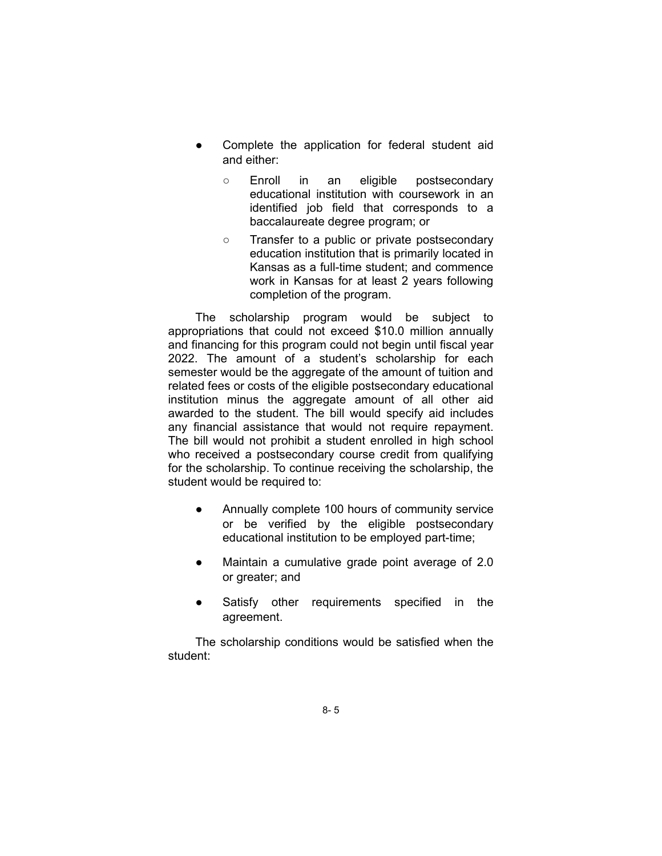- Complete the application for federal student aid and either:
	- Enroll in an eligible postsecondary educational institution with coursework in an identified job field that corresponds to a baccalaureate degree program; or
	- Transfer to a public or private postsecondary education institution that is primarily located in Kansas as a full-time student; and commence work in Kansas for at least 2 years following completion of the program.

The scholarship program would be subject to appropriations that could not exceed \$10.0 million annually and financing for this program could not begin until fiscal year 2022. The amount of a student's scholarship for each semester would be the aggregate of the amount of tuition and related fees or costs of the eligible postsecondary educational institution minus the aggregate amount of all other aid awarded to the student. The bill would specify aid includes any financial assistance that would not require repayment. The bill would not prohibit a student enrolled in high school who received a postsecondary course credit from qualifying for the scholarship. To continue receiving the scholarship, the student would be required to:

- Annually complete 100 hours of community service or be verified by the eligible postsecondary educational institution to be employed part-time;
- Maintain a cumulative grade point average of 2.0 or greater; and
- Satisfy other requirements specified in the agreement.

The scholarship conditions would be satisfied when the student: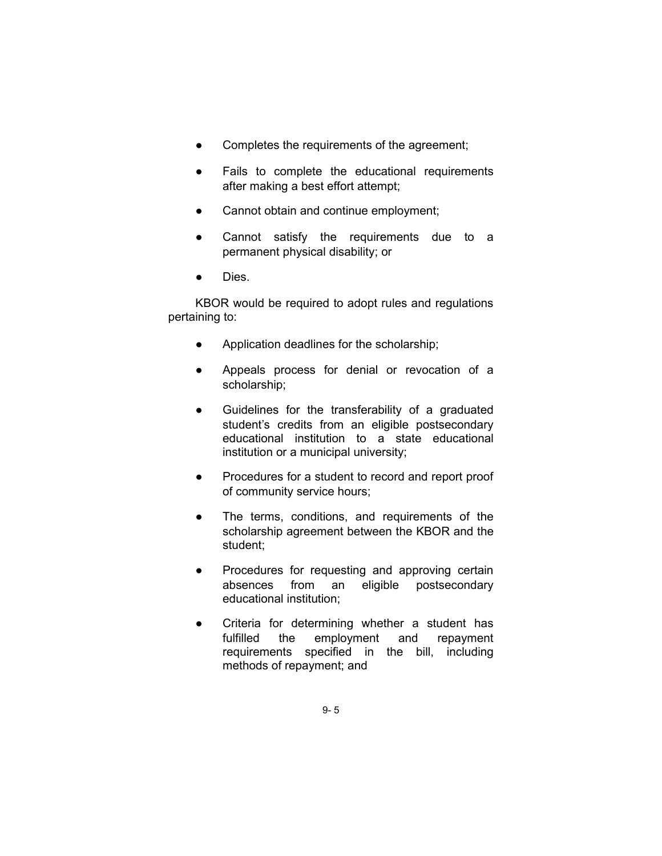- Completes the requirements of the agreement;
- Fails to complete the educational requirements after making a best effort attempt;
- Cannot obtain and continue employment;
- Cannot satisfy the requirements due to a permanent physical disability; or
- Dies.

KBOR would be required to adopt rules and regulations pertaining to:

- Application deadlines for the scholarship;
- Appeals process for denial or revocation of a scholarship;
- Guidelines for the transferability of a graduated student's credits from an eligible postsecondary educational institution to a state educational institution or a municipal university;
- Procedures for a student to record and report proof of community service hours;
- The terms, conditions, and requirements of the scholarship agreement between the KBOR and the student;
- Procedures for requesting and approving certain absences from an eligible postsecondary educational institution;
- Criteria for determining whether a student has fulfilled the employment and repayment requirements specified in the bill, including methods of repayment; and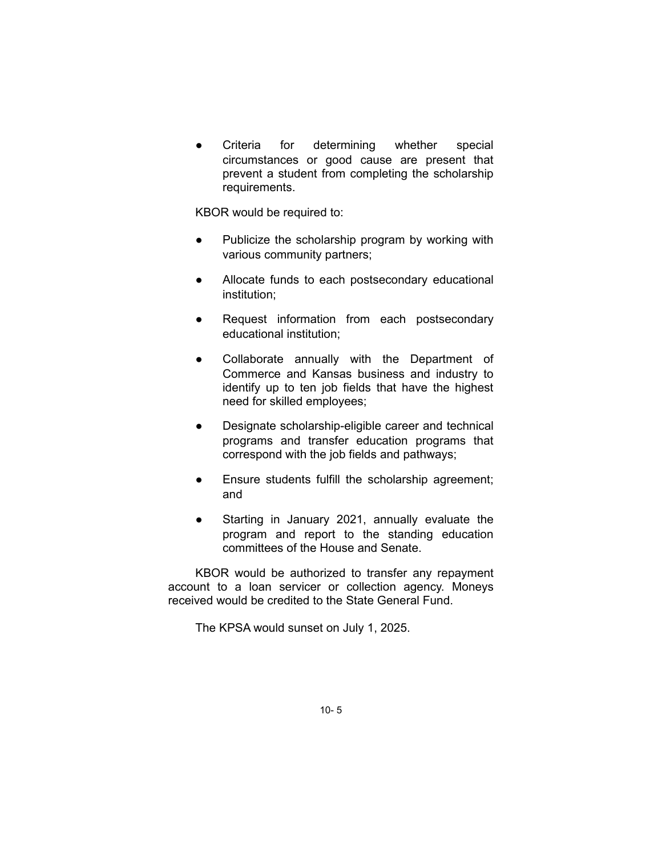Criteria for determining whether special circumstances or good cause are present that prevent a student from completing the scholarship requirements.

KBOR would be required to:

- Publicize the scholarship program by working with various community partners;
- Allocate funds to each postsecondary educational institution;
- Request information from each postsecondary educational institution;
- Collaborate annually with the Department of Commerce and Kansas business and industry to identify up to ten job fields that have the highest need for skilled employees;
- Designate scholarship-eligible career and technical programs and transfer education programs that correspond with the job fields and pathways;
- Ensure students fulfill the scholarship agreement; and
- Starting in January 2021, annually evaluate the program and report to the standing education committees of the House and Senate.

KBOR would be authorized to transfer any repayment account to a loan servicer or collection agency. Moneys received would be credited to the State General Fund.

The KPSA would sunset on July 1, 2025.